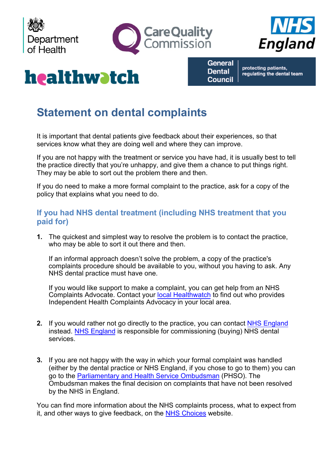





# healthwatch

**General Dental Council** 

protecting patients, regulating the dental team

# **Statement on dental complaints**

It is important that dental patients give feedback about their experiences, so that services know what they are doing well and where they can improve.

If you are not happy with the treatment or service you have had, it is usually best to tell the practice directly that you're unhappy, and give them a chance to put things right. They may be able to sort out the problem there and then.

If you do need to make a more formal complaint to the practice, ask for a copy of the policy that explains what you need to do.

## **If you had NHS dental treatment (including NHS treatment that you paid for)**

**1.** The quickest and simplest way to resolve the problem is to contact the practice, who may be able to sort it out there and then.

If an informal approach doesn't solve the problem, a copy of the practice's complaints procedure should be available to you, without you having to ask. Any NHS dental practice must have one.

If you would like support to make a complaint, you can get help from an NHS Complaints Advocate. Contact your [local Healthwatch](http://www.healthwatch.co.uk/find-local-healthwatch) to find out who provides Independent Health Complaints Advocacy in your local area.

- **2.** If you would rather not go directly to the practice, you can contact [NHS England](https://www.england.nhs.uk/contact-us/) instead. [NHS England](https://www.england.nhs.uk/contact-us/) is responsible for commissioning (buying) NHS dental services.
- **3.** If you are not happy with the way in which your formal complaint was handled (either by the dental practice or NHS England, if you chose to go to them) you can go to the Parliamentary [and Health Service Ombudsman](http://www.ombudsman.org.uk/) (PHSO). The Ombudsman makes the final decision on complaints that have not been resolved by the NHS in England.

You can find more information about the NHS complaints process, what to expect from it, and other ways to give feedback, on the [NHS Choices](http://www.nhs.uk/NHSEngland/complaints-and-feedback/Pages/nhs-complaints.aspx) website.